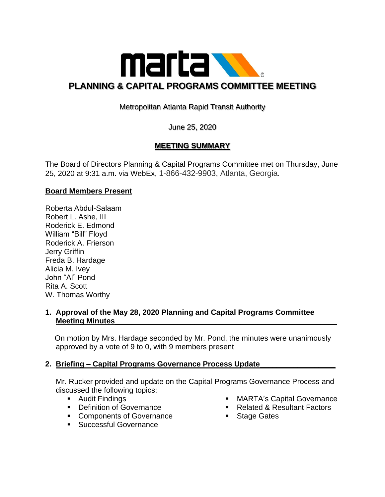

# Metropolitan Atlanta Rapid Transit Authority

# June 25, 2020

## **MEETING SUMMARY**

The Board of Directors Planning & Capital Programs Committee met on Thursday, June 25, 2020 at 9:31 a.m. via WebEx, 1-866-432-9903, Atlanta, Georgia.

### **Board Members Present**

Roberta Abdul-Salaam Robert L. Ashe, III Roderick E. Edmond William "Bill" Floyd Roderick A. Frierson Jerry Griffin Freda B. Hardage Alicia M. Ivey John "Al" Pond Rita A. Scott W. Thomas Worthy

#### **1. Approval of the May 28, 2020 Planning and Capital Programs Committee Meeting Minutes**

 On motion by Mrs. Hardage seconded by Mr. Pond, the minutes were unanimously approved by a vote of 9 to 0, with 9 members present

## **2. Briefing – Capital Programs Governance Process Update\_\_\_\_\_\_\_\_\_\_\_\_\_\_\_\_\_\_**

 Mr. Rucker provided and update on the Capital Programs Governance Process and discussed the following topics:

- Audit Findings
- Definition of Governance
- Components of Governance
- Successful Governance
- MARTA's Capital Governance
- Related & Resultant Factors
- Stage Gates